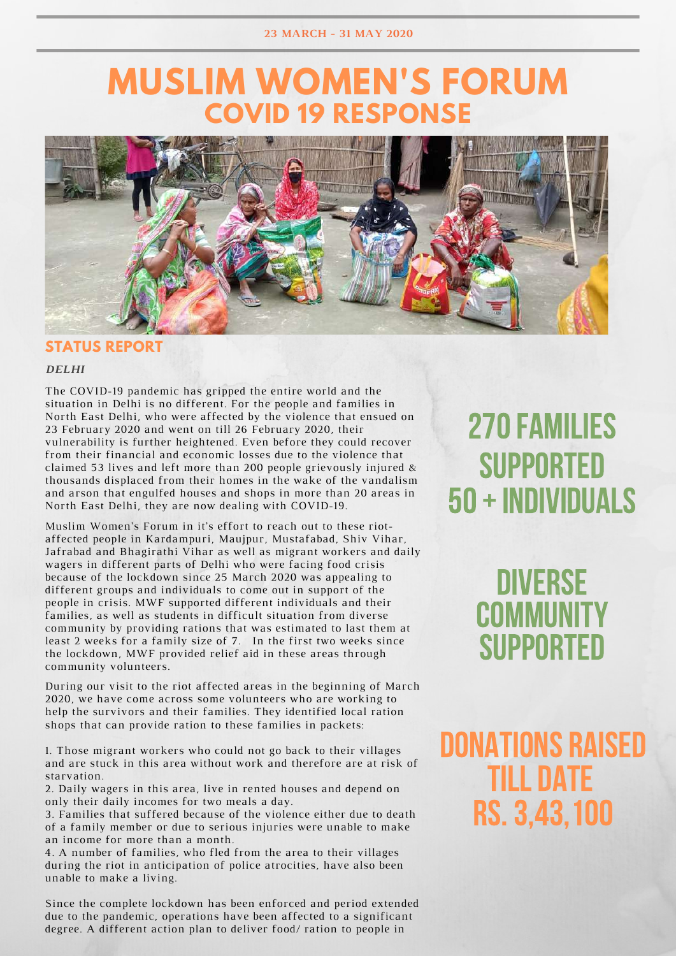#### **23 MARCH - 31 MAY 2020**

## **MUSLIM WOMEN'S FORUM COVID 19 RESPONSE**



#### **STATUS REPORT**

#### *DELHI*

The COVID-19 pandemic has gripped the entire world and the situation in Delhi is no different. For the people and families in North East Delhi, who were affected by the violence that ensued on 23 February 2020 and went on till 26 February 2020, their vulnerability is further heightened. Even before they could recover from their financial and economic losses due to the violence that claimed 53 lives and left more than 200 people grievously injured & thousands displaced from their homes in the wake of the vandalism and arson that engulfed houses and shops in more than 20 areas in North East Delhi, they are now dealing with COVID-19.

Muslim Women's Forum in it's effort to reach out to these riotaffected people in Kardampuri, Maujpur, Mustafabad, Shiv Vihar, Jafrabad and Bhagirathi Vihar as well as migrant workers and daily wagers in different parts of Delhi who were facing food crisis because of the lockdown since 25 March 2020 was appealing to different groups and individuals to come out in support of the people in crisis. MWF supported different individuals and their families, as well as students in difficult situation from diverse community by providing rations that was estimated to last them at least 2 weeks for a family size of 7. In the first two weeks since the lockdown, MWF provided relief aid in these areas through community volunteers.

During our visit to the riot affected areas in the beginning of March 2020, we have come across some volunteers who are working to help the survivors and their families. They identified local ration shops that can provide ration to these families in packets:

1. Those migrant workers who could not go back to their villages and are stuck in this area without work and therefore are at risk of starvation.

2. Daily wagers in this area, live in rented houses and depend on only their daily incomes for two meals a day.

3. Families that suffered because of the violence either due to death of a family member or due to serious injuries were unable to make an income for more than a month.

4. A number of families, who fled from the area to their villages during the riot in anticipation of police atrocities, have also been unable to make a living.

Since the complete lockdown has been enforced and period extended due to the pandemic, operations have been affected to a significant degree. A different action plan to deliver food/ ration to people in

# 270Families **SUPPORTED** 50+INDIVIDUALS

# DIVERSE **COMMUNITY SUPPORTED**

# DONATIONS RAISED TILL DATE RS.3,43,100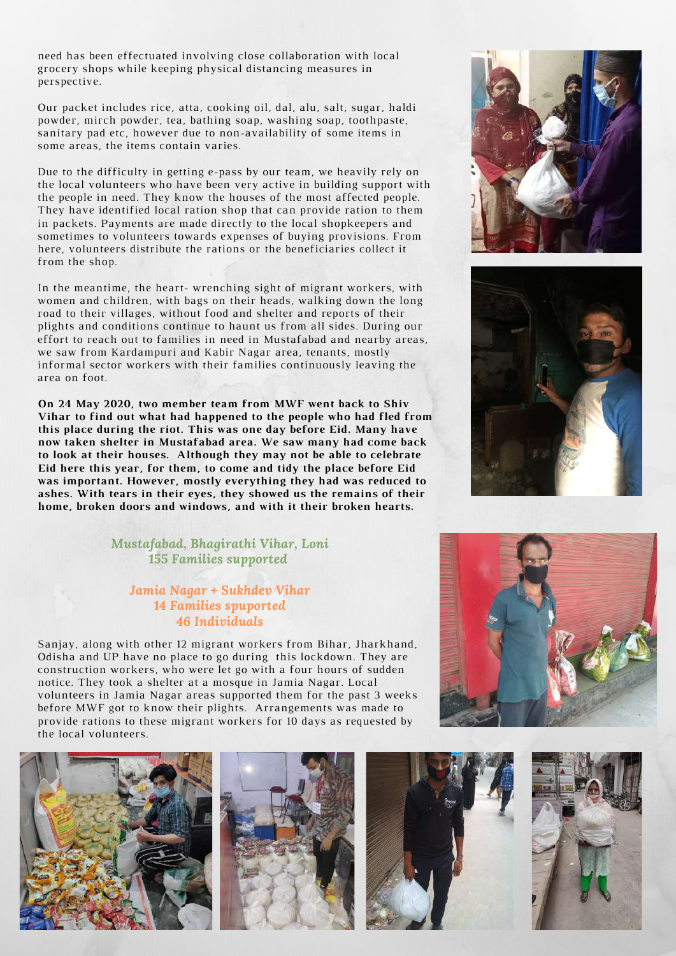need has been effectuated involving close collaboration with local grocery shops while keeping physical distancing measures in perspective.

Our packet includes rice, atta, cooking oil, dal, alu, salt, sugar, haldi powder, mirch powder, tea, bathing soap, washing soap, toothpaste, sanitary pad etc, however due to non-availability of some items in some areas, the items contain varies.

Due to the difficulty in getting e-pass by our team, we heavily rely on the local volunteers who have been very active in building support with the people in need. They know the houses of the most affected people. They have identified local ration shop that can provide ration to them in packets. Payments are made directly to the local shopkeepers and sometimes to volunteers towards expenses of buying provisions. From here, volunteers distribute the rations or the beneficiaries collect it from the shop.

In the meantime, the heart- wrenching sight of migrant workers, with women and children, with bags on their heads, walking down the long road to their villages, without food and shelter and reports of their plights and conditions continue to haunt us from all sides. During our effort to reach out to families in need in Mustafabad and nearby areas, we saw from Kardampuri and Kabir Nagar area, tenants, mostly informal sector workers with their families continuously leaving the area on foot.

**On 24 May 2020, two member team from MWF went back to Shiv Vihar to find out what had happened to the people who had fled from this place during the riot. This was one day before Eid. Many have now taken shelter in Mustafabad area. We saw many had come back to look at their houses. Although they may not be able to celebrate Eid here this year, for them, to come and tidy the place before Eid was important. However, mostly everything they had was reduced to ashes. With tears in their eyes, they showed us the remains of their home, broken doors and windows, and with it their broken hearts.**

### *Mustafabad, Bhagirathi Vihar, Loni 155 Families supported*

### *Jamia Nagar + Sukhdev Vihar 14 Families spuported 46 Individuals*

Sanjay, along with other 12 migrant workers from Bihar, Jharkhand, Odisha and UP have no place to go during this lockdown. They are construction workers, who were let go with a four hours of sudden notice. They took a shelter at a mosque in Jamia Nagar. Local volunteers in Jamia Nagar areas supported them for the past 3 weeks before MWF got to know their plights. Arrangements was made to provide rations to these migrant workers for 10 days as requested by the local volunteers.













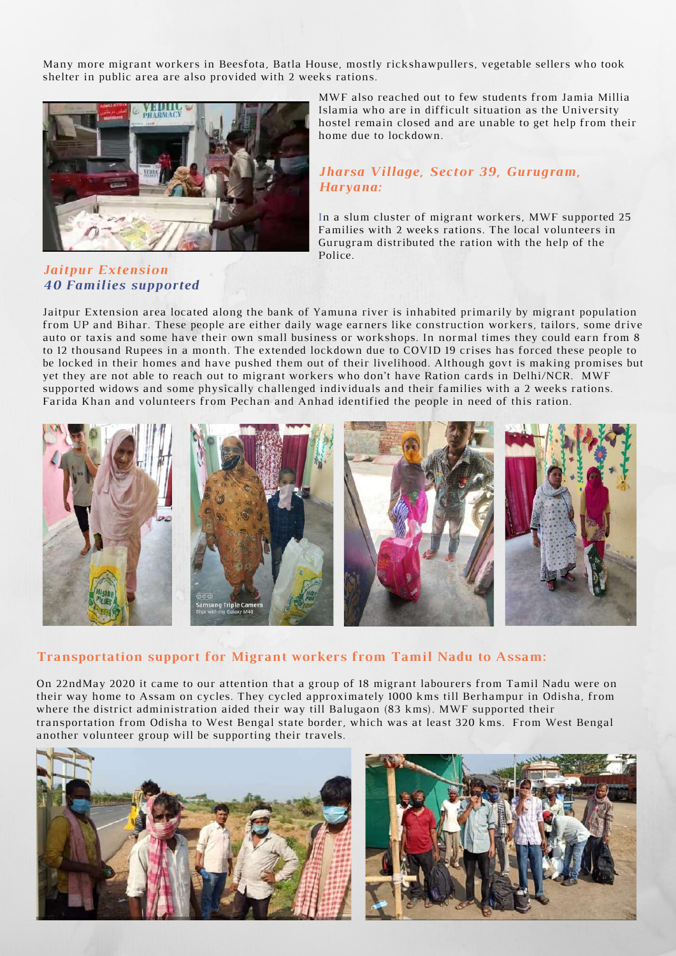Many more migrant workers in Beesfota, Batla House, mostly rickshawpullers, vegetable sellers who took shelter in public area are also provided with 2 weeks rations.



MWF also reached out to few students from Jamia Millia Islamia who are in difficult situation as the University hostel remain closed and are unable to get help from their home due to lockdown.

### *Jharsa Village, Sector 39, Gurugram, Haryana:*

In a slum cluster of migrant workers, MWF supported 25 Families with 2 weeks rations. The local volunteers in Gurugram distributed the ration with the help of the Police.

### *Jaitpur Extension 40 Families supported*

Jaitpur Extension area located along the bank of Yamuna river is inhabited primarily by migrant population from UP and Bihar. These people are either daily wage earners like construction workers, tailors, some drive auto or taxis and some have their own small business or workshops. In normal times they could earn from 8 to 12 thousand Rupees in a month. The extended lockdown due to COVID 19 crises has forced these people to be locked in their homes and have pushed them out of their livelihood. Although govt is making promises but yet they are not able to reach out to migrant workers who don't have Ration cards in Delhi/NCR. MWF supported widows and some physically challenged individuals and their families with a 2 weeks rations. Farida Khan and volunteers from Pechan and Anhad identified the people in need of this ration.



#### **Transportation support for Migrant workers from Tamil Nadu to Assam:**

On 22ndMay 2020 it came to our attention that a group of 18 migrant labourers from Tamil Nadu were on their way home to Assam on cycles. They cycled approximately 1000 kms till Berhampur in Odisha, from where the district administration aided their way till Balugaon (83 kms). MWF supported their transportation from Odisha to West Bengal state border, which was at least 320 kms. From West Bengal another volunteer group will be supporting their travels.



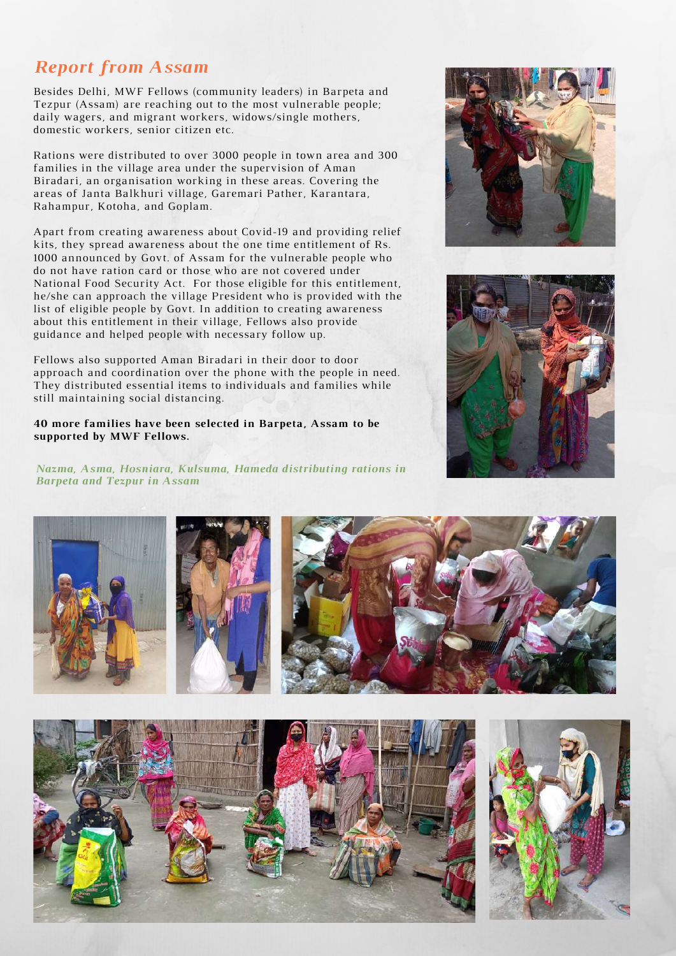## *Report from Assam*

Besides Delhi, MWF Fellows (community leaders) in Barpeta and Tezpur (Assam) are reaching out to the most vulnerable people; daily wagers, and migrant workers, widows/single mothers, domestic workers, senior citizen etc.

Rations were distributed to over 3000 people in town area and 300 families in the village area under the supervision of Aman Biradari, an organisation working in these areas. Covering the areas of Janta Balkhuri village, Garemari Pather, Karantara, Rahampur, Kotoha, and Goplam.

Apart from creating awareness about Covid-19 and providing relief kits, they spread awareness about the one time entitlement of Rs. 1000 announced by Govt. of Assam for the vulnerable people who do not have ration card or those who are not covered under National Food Security Act. For those eligible for this entitlement, he/she can approach the village President who is provided with the list of eligible people by Govt. In addition to creating awareness about this entitlement in their village, Fellows also provide guidance and helped people with necessary follow up.

Fellows also supported Aman Biradari in their door to door approach and coordination over the phone with the people in need. They distributed essential items to individuals and families while still maintaining social distancing.

**40 more families have been selected in Barpeta, Assam to be supported by MWF Fellows.**

*Nazma, Asma, Hosniara, Kulsuma, Hameda distributing rations in Barpeta and Tezpur in Assam*